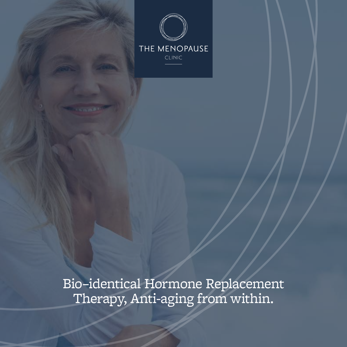

Bio–identical Hormone Replacement Therapy, Anti-aging from within.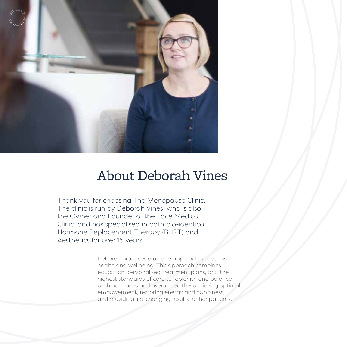

### About Deborah Vines

Thank you for choosing The Menopause Clinic. The clinic is run by Deborah Vines, who is also the Owner and Founder of the Face Medical Clinic, and has specialised in both bio-identical Hormone Replacement Therapy (BHRT) and Aesthetics for over 15 years.

> Deborah practices a unique approach to optimise health and wellbeing. This approach combines education, personalised treatment plans, and the highest standards of care to replenish and balance both hormones and overall health - achieving optimal empowerment, restoring energy and happiness, and providing life-changing results for her patients.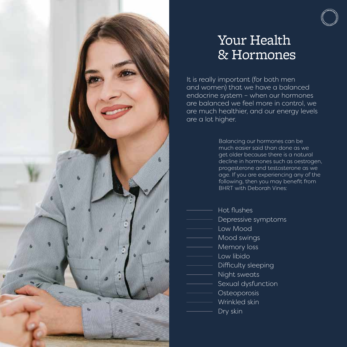

### Your Health & Hormones

It is really important (for both men and women) that we have a balanced endocrine system – when our hormones are balanced we feel more in control, we are much healthier, and our energy levels are a lot higher.

> Balancing our hormones can be much easier said than done as we get older because there is a natural decline in hormones such as oestrogen, progesterone and testosterone as we age. If you are experiencing any of the following, then you may benefit from BHRT with Deborah Vines:

- Hot flushes
- Depressive symptoms
- Low Mood
- Mood swings
- Memory loss
- Low libido
- Difficulty sleeping
- Night sweats
	- Sexual dysfunction
- Osteoporosis
- Wrinkled skin
	- Dry skin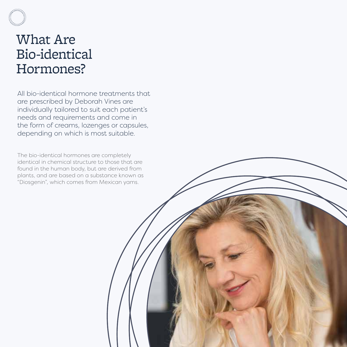### What Are Bio-identical Hormones?

All bio-identical hormone treatments that are prescribed by Deborah Vines are individually tailored to suit each patient's needs and requirements and come in the form of creams, lozenges or capsules, depending on which is most suitable.

The bio-identical hormones are completely identical in chemical structure to those that are found in the human body, but are derived from plants, and are based on a substance known as "Diosgenin", which comes from Mexican yams.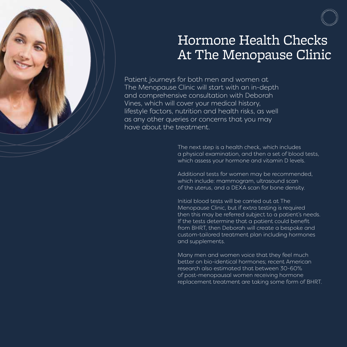

### Hormone Health Checks At The Menopause Clinic

Patient journeys for both men and women at The Menopause Clinic will start with an in-depth and comprehensive consultation with Deborah Vines, which will cover your medical history, lifestyle factors, nutrition and health risks, as well as any other queries or concerns that you may have about the treatment.

> The next step is a health check, which includes a physical examination, and then a set of blood tests, which assess your hormone and vitamin D levels.

Additional tests for women may be recommended, which include: mammogram, ultrasound scan of the uterus, and a DEXA scan for bone density.

Initial blood tests will be carried out at The Menopause Clinic, but if extra testing is required then this may be referred subject to a patient's needs. If the tests determine that a patient could benefit from BHRT, then Deborah will create a bespoke and custom-tailored treatment plan including hormones and supplements.

Many men and women voice that they feel much better on bio-identical hormones; recent American research also estimated that between 30-60% of post-menopausal women receiving hormone replacement treatment are taking some form of BHRT.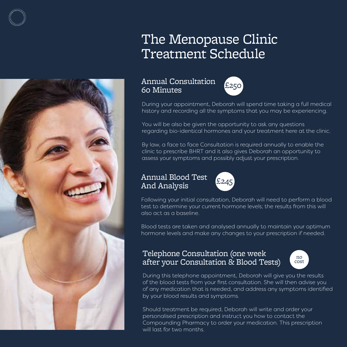## The Menopause Clinic Treatment Schedule

#### Annual Consultation Annuar Consultation<br>60 Minutes



During your appointment, Deborah will spend time taking a full medical history and recording all the symptoms that you may be experiencing.

You will be also be given the opportunity to ask any questions regarding bio-identical hormones and your treatment here at the clinic.

By law, a face to face Consultation is required annually to enable the clinic to prescribe BHRT and it also gives Deborah an opportunity to assess your symptoms and possibly adjust your prescription.

#### Annual Blood Test Annual Blood Test<br>And Analysis



Following your initial consultation, Deborah will need to perform a blood test to determine your current hormone levels; the results from this will also act as a baseline.

Blood tests are taken and analysed annually to maintain your optimum hormone levels and make any changes to your prescription if needed.

#### Telephone Consultation (one week after your Consultation & Blood Tests)



During this telephone appointment, Deborah will give you the results of the blood tests from your first consultation. She will then advise you of any medication that is needed, and address any symptoms identified by your blood results and symptoms.

Should treatment be required, Deborah will write and order your personalised prescription and instruct you how to contact the Compounding Pharmacy to order your medication. This prescription will last for two months.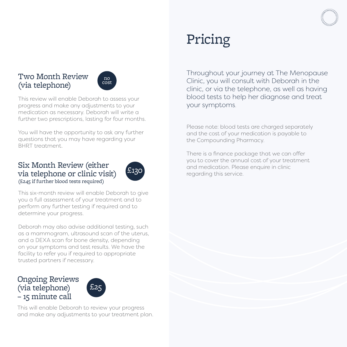#### Two Month Review (via telephone)



This review will enable Deborah to assess your progress and make any adjustments to your medication as necessary. Deborah will write a further two prescriptions, lasting for four months.

You will have the opportunity to ask any further questions that you may have regarding your BHRT treatment.

#### Six Month Review (either via telephone or clinic visit) (£245 if further blood tests required)



This six-month review will enable Deborah to give you a full assessment of your treatment and to perform any further testing if required and to determine your progress.

Deborah may also advise additional testing, such as a mammogram, ultrasound scan of the uterus, and a DEXA scan for bone density, depending on your symptoms and test results. We have the facility to refer you if required to appropriate trusted partners if necessary.

#### Ongoing Reviews (via telephone) – 15 minute call



This will enable Deborah to review your progress and make any adjustments to your treatment plan.

# Pricing

Throughout your journey at The Menopause Clinic, you will consult with Deborah in the clinic, or via the telephone, as well as having blood tests to help her diagnose and treat your symptoms.

Please note: blood tests are charged separately and the cost of your medication is payable to the Compounding Pharmacy.

There is a finance package that we can offer you to cover the annual cost of your treatment and medication. Please enquire in clinic regarding this service.